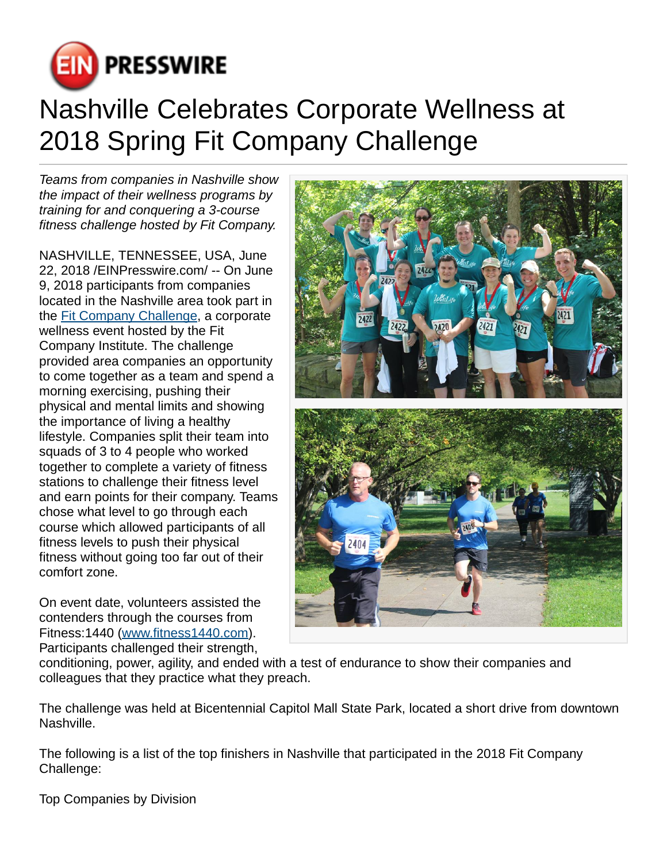

## Nashville Celebrates Corporate Wellness at 2018 Spring Fit Company Challenge

Teams from companies in Nashville show the impact of their wellness programs by training for and conquering a 3-course fitness challenge hosted by Fit Company.

NASHVILLE, TENNESSEE, USA, June 22, 2018 [/EINPresswire.com/](http://www.einpresswire.com) -- On June 9, 2018 participants from companies located in the Nashville area took part in the [Fit Company Challenge](http://www.fitcompany.com), a corporate wellness event hosted by the Fit Company Institute. The challenge provided area companies an opportunity to come together as a team and spend a morning exercising, pushing their physical and mental limits and showing the importance of living a healthy lifestyle. Companies split their team into squads of 3 to 4 people who worked together to complete a variety of fitness stations to challenge their fitness level and earn points for their company. Teams chose what level to go through each course which allowed participants of all fitness levels to push their physical fitness without going too far out of their comfort zone.

On event date, volunteers assisted the contenders through the courses from Fitness:1440 [\(www.fitness1440.com](http://www.fitness1440.com)). Participants challenged their strength,



conditioning, power, agility, and ended with a test of endurance to show their companies and colleagues that they practice what they preach.

The challenge was held at Bicentennial Capitol Mall State Park, located a short drive from downtown Nashville.

The following is a list of the top finishers in Nashville that participated in the 2018 Fit Company Challenge:

Top Companies by Division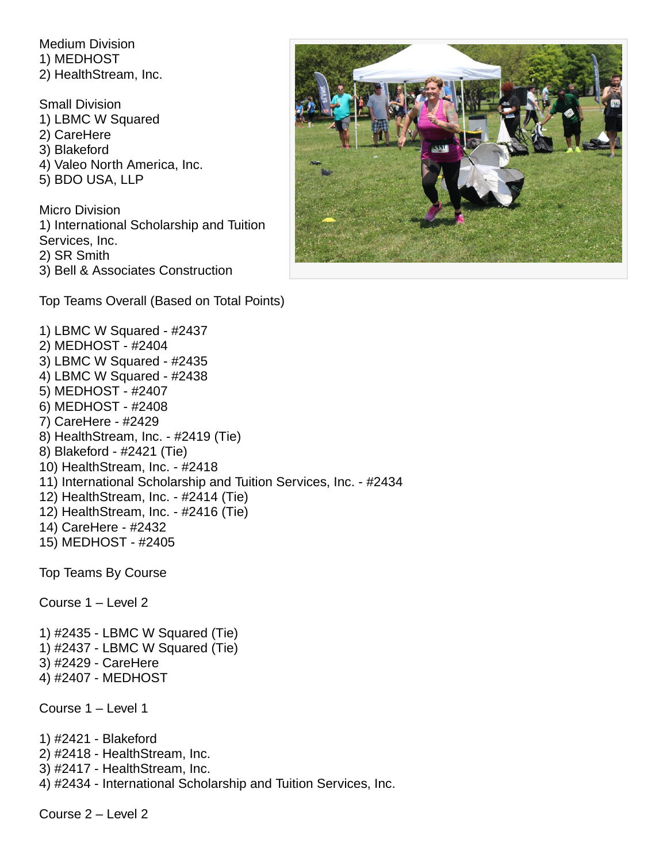Medium Division 1) MEDHOST 2) HealthStream, Inc.

Small Division

1) LBMC W Squared 2) CareHere 3) Blakeford 4) Valeo North America, Inc. 5) BDO USA, LLP Micro Division 1) International Scholarship and Tuition Services, Inc. 2) SR Smith 3) Bell & Associates Construction

Top Teams Overall (Based on Total Points)



1) LBMC W Squared - #2437 2) MEDHOST - #2404 3) LBMC W Squared - #2435 4) LBMC W Squared - #2438 5) MEDHOST - #2407 6) MEDHOST - #2408 7) CareHere - #2429 8) HealthStream, Inc. - #2419 (Tie) 8) Blakeford - #2421 (Tie) 10) HealthStream, Inc. - #2418 11) International Scholarship and Tuition Services, Inc. - #2434 12) HealthStream, Inc. - #2414 (Tie) 12) HealthStream, Inc. - #2416 (Tie) 14) CareHere - #2432 15) MEDHOST - #2405 Top Teams By Course

Course 1 – Level 2

1) #2435 - LBMC W Squared (Tie) 1) #2437 - LBMC W Squared (Tie) 3) #2429 - CareHere 4) #2407 - MEDHOST

Course 1 – Level 1

1) #2421 - Blakeford 2) #2418 - HealthStream, Inc. 3) #2417 - HealthStream, Inc. 4) #2434 - International Scholarship and Tuition Services, Inc.

Course 2 – Level 2